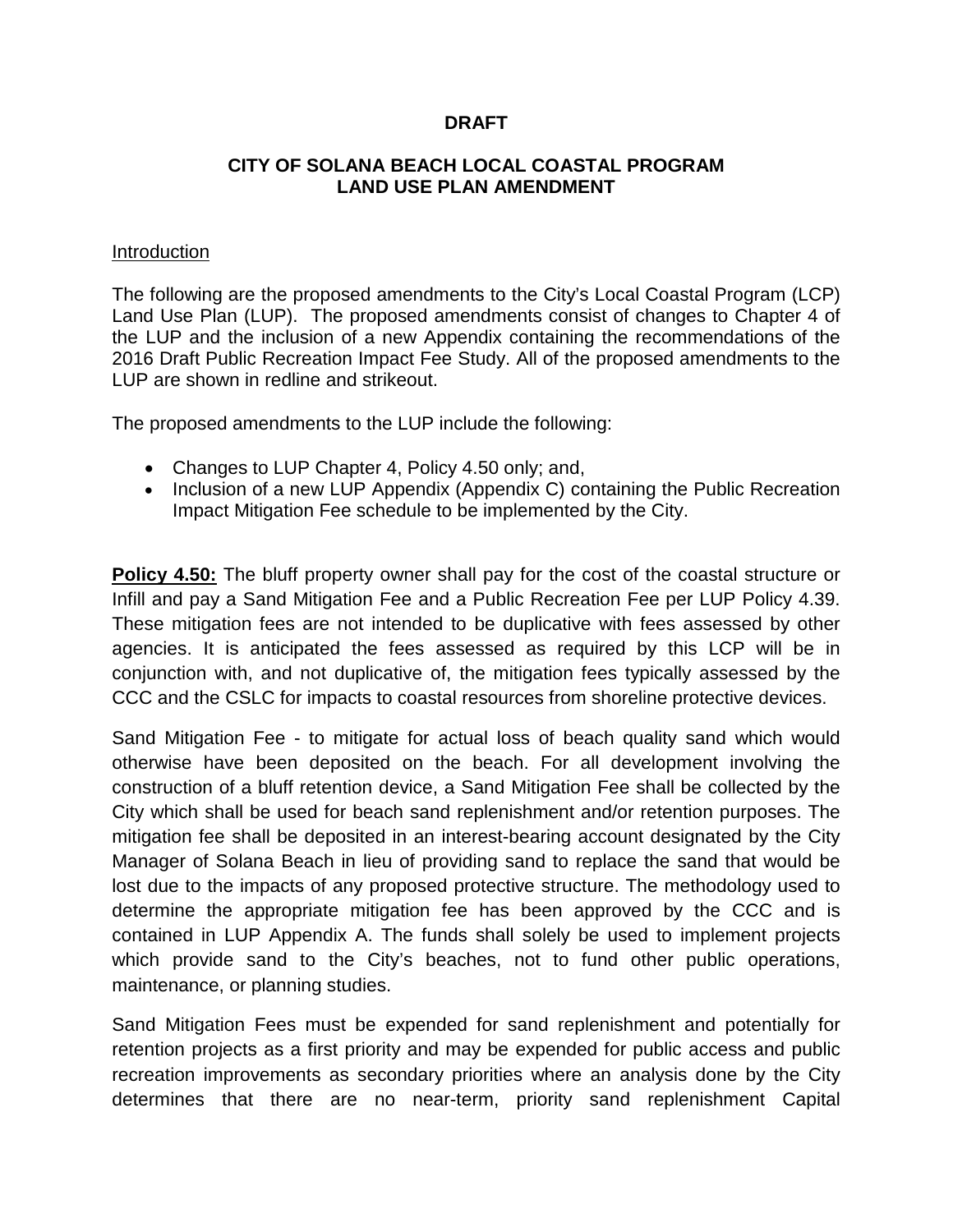### **DRAFT**

### **CITY OF SOLANA BEACH LOCAL COASTAL PROGRAM LAND USE PLAN AMENDMENT**

#### Introduction

The following are the proposed amendments to the City's Local Coastal Program (LCP) Land Use Plan (LUP). The proposed amendments consist of changes to Chapter 4 of the LUP and the inclusion of a new Appendix containing the recommendations of the 2016 Draft Public Recreation Impact Fee Study. All of the proposed amendments to the LUP are shown in redline and strikeout.

The proposed amendments to the LUP include the following:

- Changes to LUP Chapter 4, Policy 4.50 only; and,
- Inclusion of a new LUP Appendix (Appendix C) containing the Public Recreation Impact Mitigation Fee schedule to be implemented by the City.

**Policy 4.50:** The bluff property owner shall pay for the cost of the coastal structure or Infill and pay a Sand Mitigation Fee and a Public Recreation Fee per LUP Policy 4.39. These mitigation fees are not intended to be duplicative with fees assessed by other agencies. It is anticipated the fees assessed as required by this LCP will be in conjunction with, and not duplicative of, the mitigation fees typically assessed by the CCC and the CSLC for impacts to coastal resources from shoreline protective devices.

Sand Mitigation Fee - to mitigate for actual loss of beach quality sand which would otherwise have been deposited on the beach. For all development involving the construction of a bluff retention device, a Sand Mitigation Fee shall be collected by the City which shall be used for beach sand replenishment and/or retention purposes. The mitigation fee shall be deposited in an interest-bearing account designated by the City Manager of Solana Beach in lieu of providing sand to replace the sand that would be lost due to the impacts of any proposed protective structure. The methodology used to determine the appropriate mitigation fee has been approved by the CCC and is contained in LUP Appendix A. The funds shall solely be used to implement projects which provide sand to the City's beaches, not to fund other public operations, maintenance, or planning studies.

Sand Mitigation Fees must be expended for sand replenishment and potentially for retention projects as a first priority and may be expended for public access and public recreation improvements as secondary priorities where an analysis done by the City determines that there are no near-term, priority sand replenishment Capital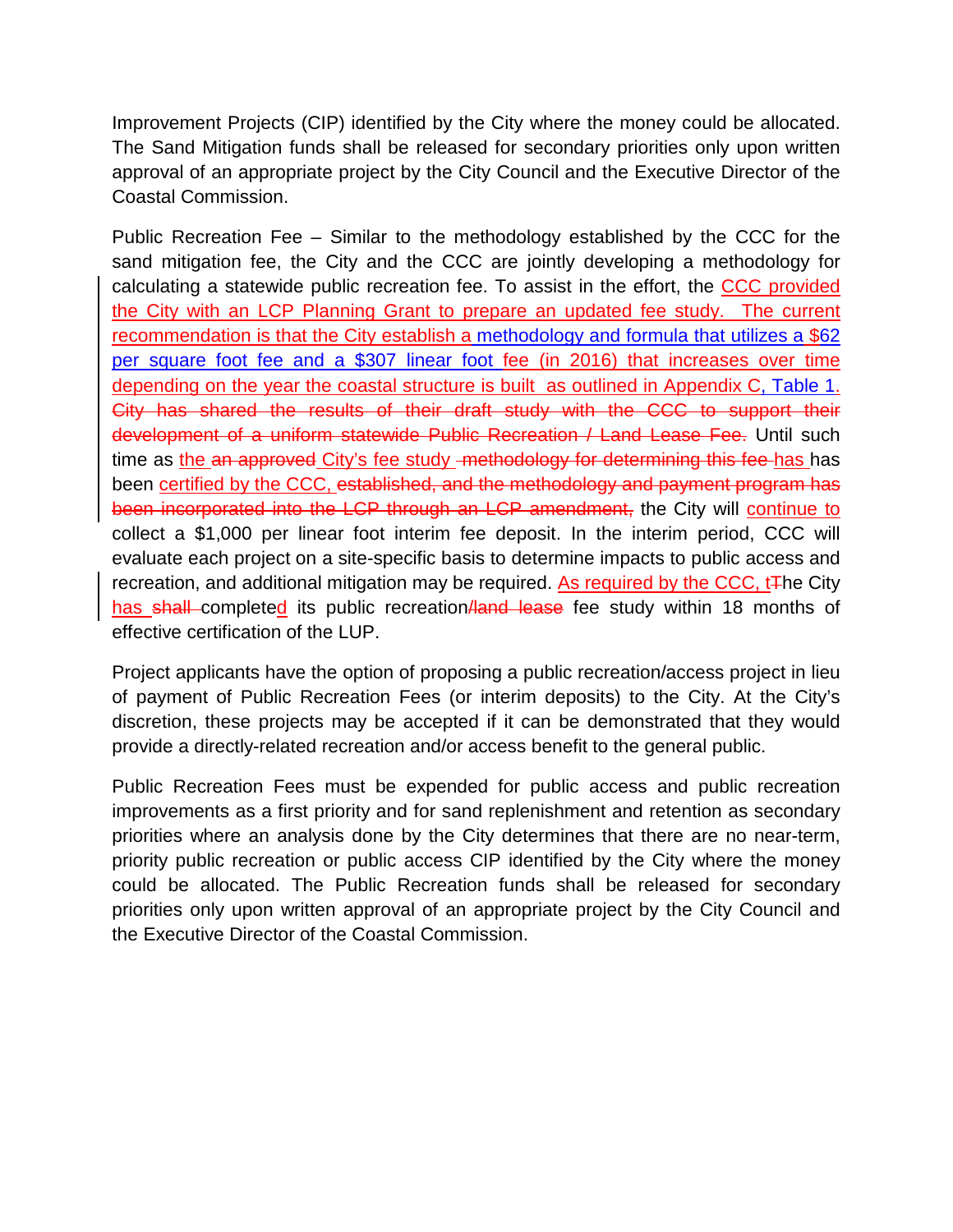Improvement Projects (CIP) identified by the City where the money could be allocated. The Sand Mitigation funds shall be released for secondary priorities only upon written approval of an appropriate project by the City Council and the Executive Director of the Coastal Commission.

Public Recreation Fee – Similar to the methodology established by the CCC for the sand mitigation fee, the City and the CCC are jointly developing a methodology for calculating a statewide public recreation fee. To assist in the effort, the CCC provided the City with an LCP Planning Grant to prepare an updated fee study. The current recommendation is that the City establish a methodology and formula that utilizes a \$62 per square foot fee and a \$307 linear foot fee (in 2016) that increases over time depending on the year the coastal structure is built as outlined in Appendix C, Table 1. City has shared the results of their draft study with the CCC to support their development of a uniform statewide Public Recreation / Land Lease Fee. Until such time as the an approved City's fee study -methodology for determining this fee has has been certified by the CCC, established, and the methodology and payment program has been incorporated into the LCP through an LCP amendment, the City will continue to collect a \$1,000 per linear foot interim fee deposit. In the interim period, CCC will evaluate each project on a site-specific basis to determine impacts to public access and recreation, and additional mitigation may be required. As required by the CCC,  $tF$ he City has shall completed its public recreation/land lease fee study within 18 months of effective certification of the LUP.

Project applicants have the option of proposing a public recreation/access project in lieu of payment of Public Recreation Fees (or interim deposits) to the City. At the City's discretion, these projects may be accepted if it can be demonstrated that they would provide a directly-related recreation and/or access benefit to the general public.

Public Recreation Fees must be expended for public access and public recreation improvements as a first priority and for sand replenishment and retention as secondary priorities where an analysis done by the City determines that there are no near-term, priority public recreation or public access CIP identified by the City where the money could be allocated. The Public Recreation funds shall be released for secondary priorities only upon written approval of an appropriate project by the City Council and the Executive Director of the Coastal Commission.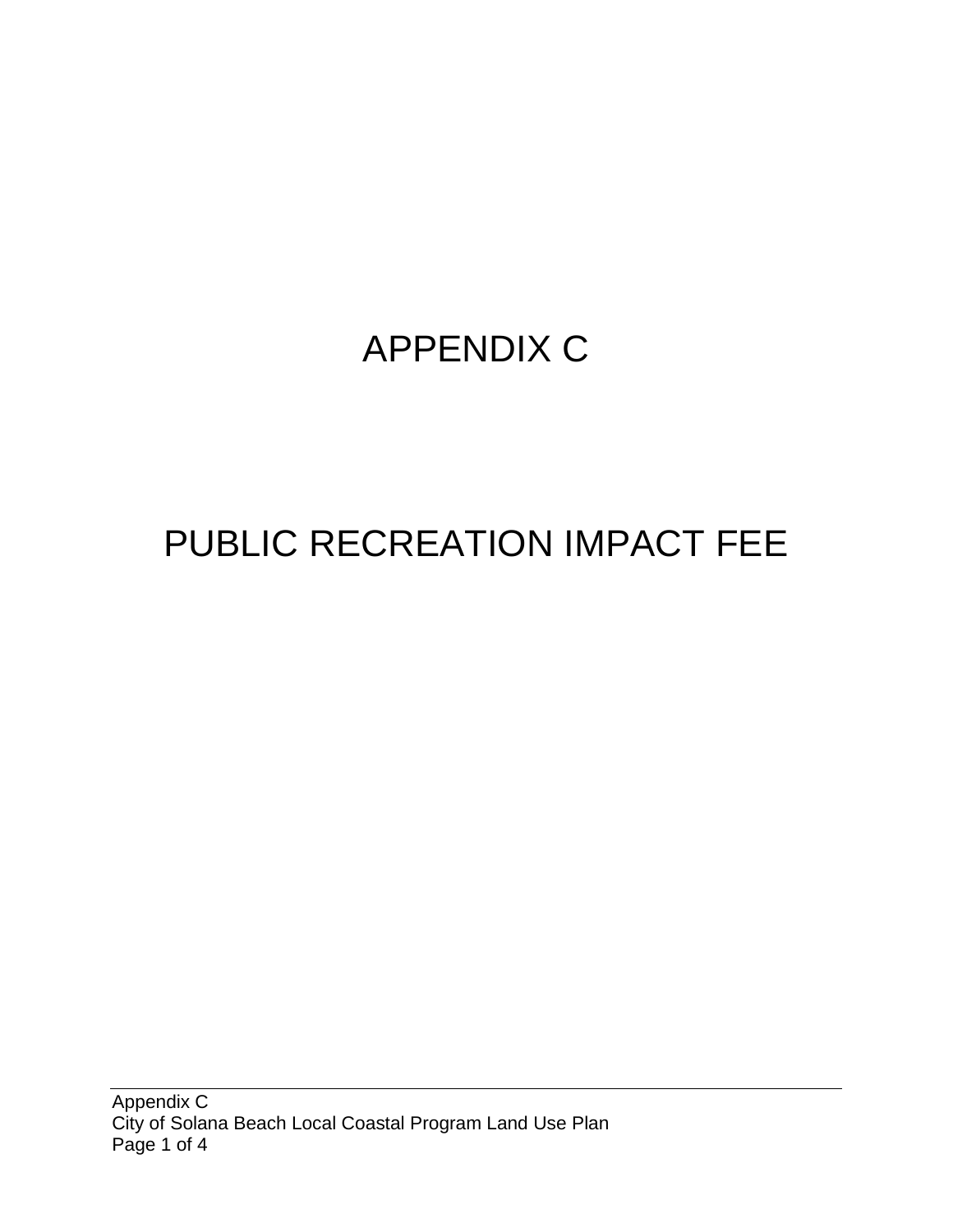# APPENDIX C

# PUBLIC RECREATION IMPACT FEE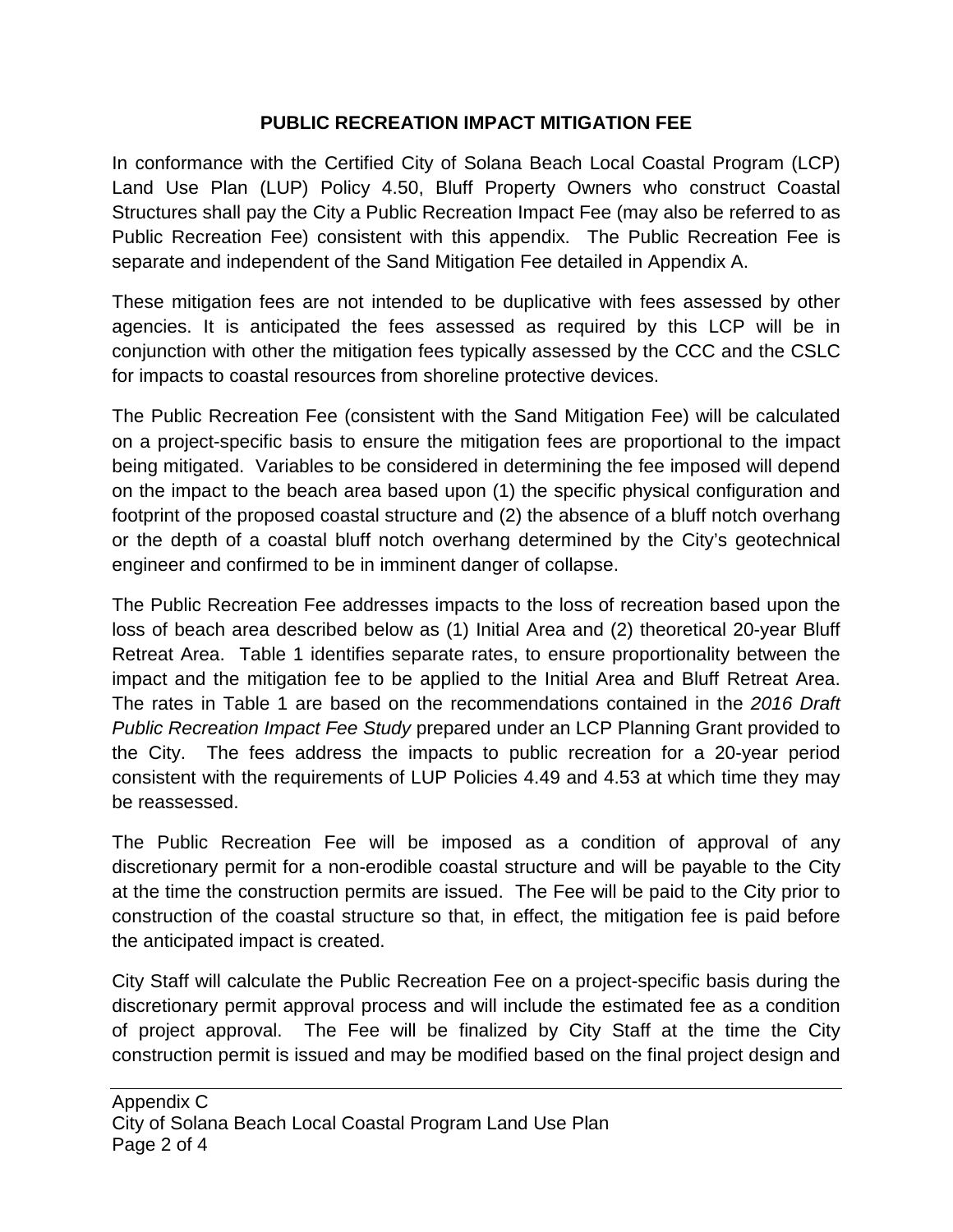## **PUBLIC RECREATION IMPACT MITIGATION FEE**

In conformance with the Certified City of Solana Beach Local Coastal Program (LCP) Land Use Plan (LUP) Policy 4.50, Bluff Property Owners who construct Coastal Structures shall pay the City a Public Recreation Impact Fee (may also be referred to as Public Recreation Fee) consistent with this appendix. The Public Recreation Fee is separate and independent of the Sand Mitigation Fee detailed in Appendix A.

These mitigation fees are not intended to be duplicative with fees assessed by other agencies. It is anticipated the fees assessed as required by this LCP will be in conjunction with other the mitigation fees typically assessed by the CCC and the CSLC for impacts to coastal resources from shoreline protective devices.

The Public Recreation Fee (consistent with the Sand Mitigation Fee) will be calculated on a project-specific basis to ensure the mitigation fees are proportional to the impact being mitigated. Variables to be considered in determining the fee imposed will depend on the impact to the beach area based upon (1) the specific physical configuration and footprint of the proposed coastal structure and (2) the absence of a bluff notch overhang or the depth of a coastal bluff notch overhang determined by the City's geotechnical engineer and confirmed to be in imminent danger of collapse.

The Public Recreation Fee addresses impacts to the loss of recreation based upon the loss of beach area described below as (1) Initial Area and (2) theoretical 20-year Bluff Retreat Area. Table 1 identifies separate rates, to ensure proportionality between the impact and the mitigation fee to be applied to the Initial Area and Bluff Retreat Area. The rates in Table 1 are based on the recommendations contained in the *2016 Draft Public Recreation Impact Fee Study* prepared under an LCP Planning Grant provided to the City. The fees address the impacts to public recreation for a 20-year period consistent with the requirements of LUP Policies 4.49 and 4.53 at which time they may be reassessed.

The Public Recreation Fee will be imposed as a condition of approval of any discretionary permit for a non-erodible coastal structure and will be payable to the City at the time the construction permits are issued. The Fee will be paid to the City prior to construction of the coastal structure so that, in effect, the mitigation fee is paid before the anticipated impact is created.

City Staff will calculate the Public Recreation Fee on a project-specific basis during the discretionary permit approval process and will include the estimated fee as a condition of project approval. The Fee will be finalized by City Staff at the time the City construction permit is issued and may be modified based on the final project design and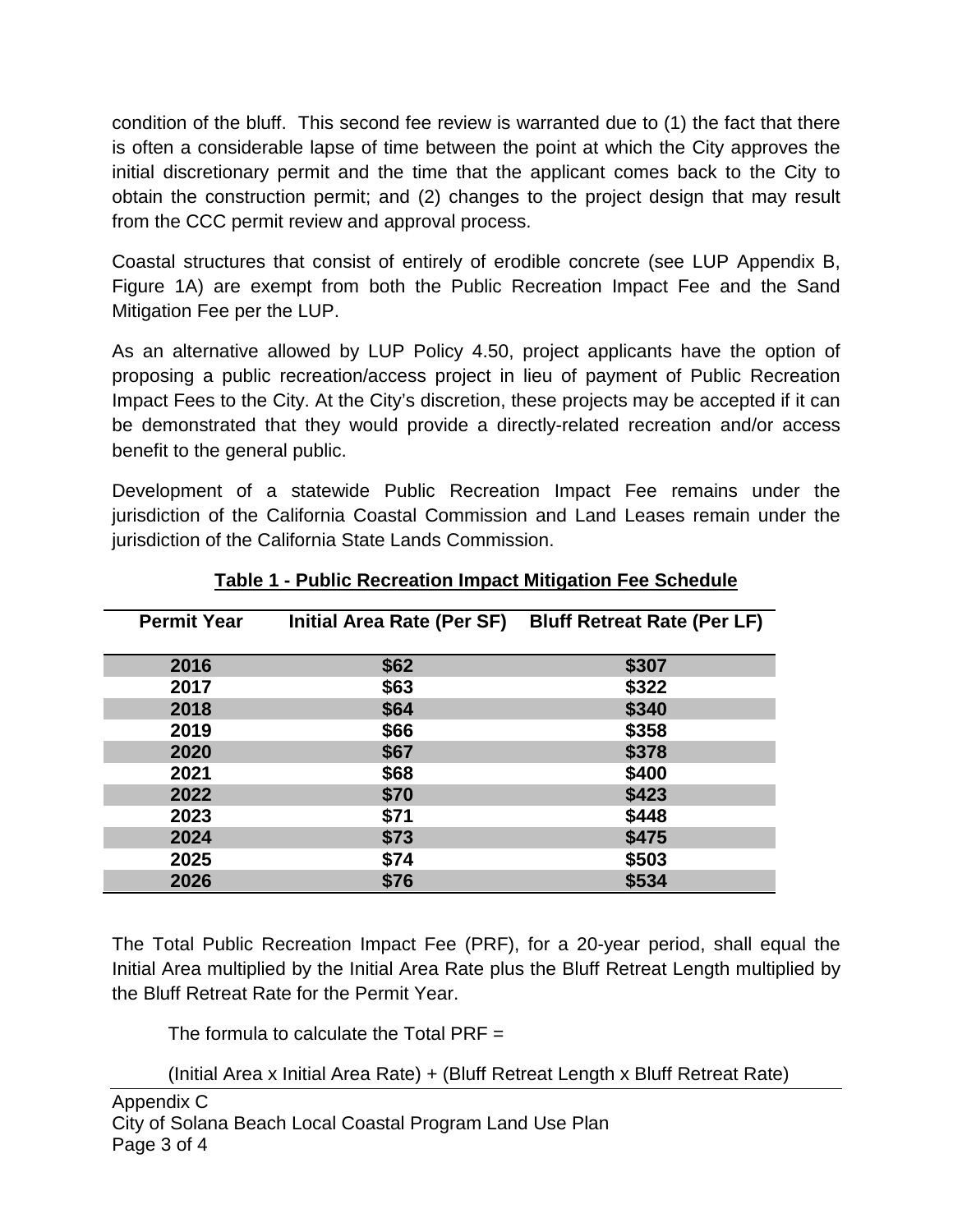condition of the bluff. This second fee review is warranted due to (1) the fact that there is often a considerable lapse of time between the point at which the City approves the initial discretionary permit and the time that the applicant comes back to the City to obtain the construction permit; and (2) changes to the project design that may result from the CCC permit review and approval process.

Coastal structures that consist of entirely of erodible concrete (see LUP Appendix B, Figure 1A) are exempt from both the Public Recreation Impact Fee and the Sand Mitigation Fee per the LUP.

As an alternative allowed by LUP Policy 4.50, project applicants have the option of proposing a public recreation/access project in lieu of payment of Public Recreation Impact Fees to the City. At the City's discretion, these projects may be accepted if it can be demonstrated that they would provide a directly-related recreation and/or access benefit to the general public.

Development of a statewide Public Recreation Impact Fee remains under the jurisdiction of the California Coastal Commission and Land Leases remain under the jurisdiction of the California State Lands Commission.

| <b>Permit Year</b> | Initial Area Rate (Per SF) | <b>Bluff Retreat Rate (Per LF)</b> |
|--------------------|----------------------------|------------------------------------|
| 2016               | \$62                       | \$307                              |
| 2017               | \$63                       | \$322                              |
| 2018               | \$64                       | \$340                              |
| 2019               | \$66                       | \$358                              |
| 2020               | \$67                       | \$378                              |
| 2021               | \$68                       | \$400                              |
| 2022               | \$70                       | \$423                              |
| 2023               | \$71                       | \$448                              |
| 2024               | \$73                       | \$475                              |
| 2025               | \$74                       | \$503                              |
| 2026               | \$76                       | \$534                              |

## **Table 1 - Public Recreation Impact Mitigation Fee Schedule**

The Total Public Recreation Impact Fee (PRF), for a 20-year period, shall equal the Initial Area multiplied by the Initial Area Rate plus the Bluff Retreat Length multiplied by the Bluff Retreat Rate for the Permit Year.

The formula to calculate the Total PRF =

(Initial Area x Initial Area Rate) + (Bluff Retreat Length x Bluff Retreat Rate)